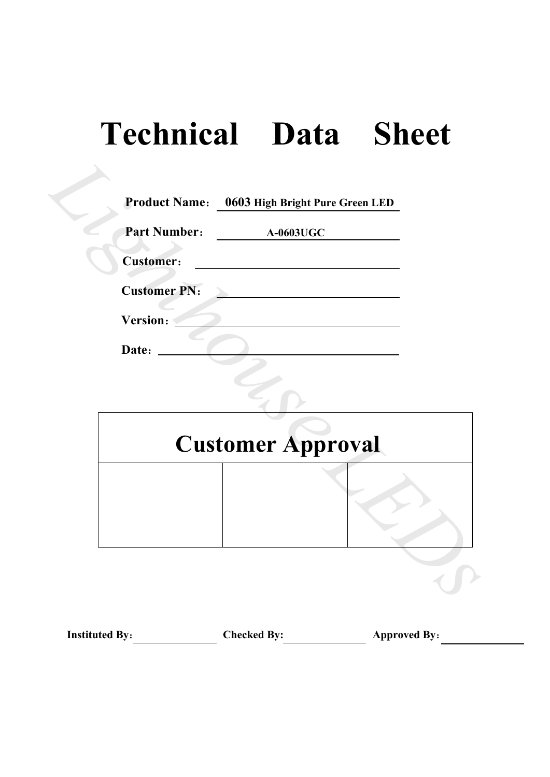# **Technical Data Sheet**

| <b>Product Name:</b> | 0603 High Bright Pure Green LED |
|----------------------|---------------------------------|
| <b>Part Number:</b>  | <b>A-0603UGC</b>                |
| <b>Customer:</b>     |                                 |
| <b>Customer PN:</b>  |                                 |
| Version:             |                                 |
|                      |                                 |
|                      |                                 |
|                      | <b>Customer Approval</b>        |
|                      |                                 |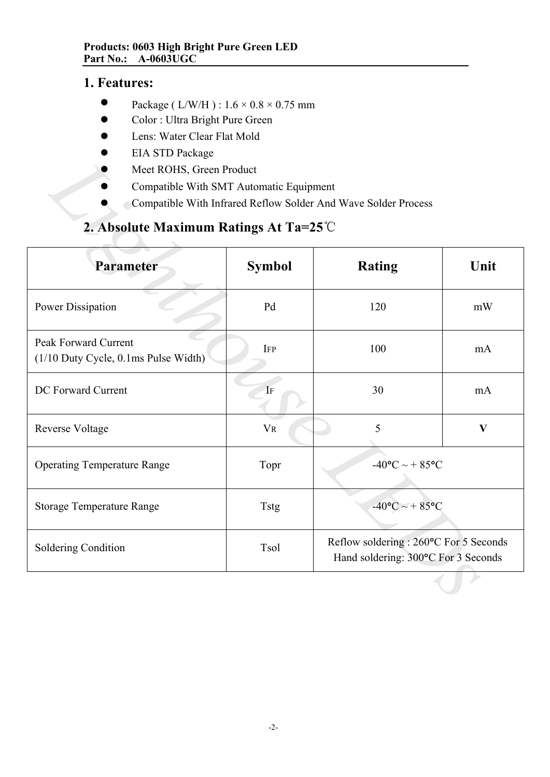# **1. Features:**

- $\bullet$ Package ( L/W/H ) :  $1.6 \times 0.8 \times 0.75$  mm
- $\bullet$ Color : Ultra Bright Pure Green
- $\bullet$ Lens: Water Clear Flat Mold
- $\bullet$ EIA STD Package
- $\bullet$ Meet ROHS, Green Product
- $\bullet$ Compatible With SMT Automatic Equipment
- $\bullet$ Compatible With Infrared Reflow Solder And Wave Solder Process

# **2. Absolute Maximum Ratings At Ta=25**℃

| LIA OTD I aUNASU<br>Meet ROHS, Green Product<br>Compatible With SMT Automatic Equipment |                | Compatible With Infrared Reflow Solder And Wave Solder Process                |              |  |  |  |
|-----------------------------------------------------------------------------------------|----------------|-------------------------------------------------------------------------------|--------------|--|--|--|
| 2. Absolute Maximum Ratings At Ta=25 $\degree$ C                                        |                |                                                                               |              |  |  |  |
| Parameter                                                                               | <b>Symbol</b>  | <b>Rating</b>                                                                 | Unit         |  |  |  |
| <b>Power Dissipation</b>                                                                | Pd             | 120                                                                           | mW           |  |  |  |
| Peak Forward Current<br>(1/10 Duty Cycle, 0.1ms Pulse Width)                            | <b>IFP</b>     | 100                                                                           | mA           |  |  |  |
| DC Forward Current                                                                      | IF             | 30<br>mA                                                                      |              |  |  |  |
| Reverse Voltage                                                                         | $\rm{V}\rm{R}$ | 5                                                                             | $\mathbf{V}$ |  |  |  |
| <b>Operating Temperature Range</b>                                                      | Topr           | $-40$ °C ~ + 85°C                                                             |              |  |  |  |
| <b>Storage Temperature Range</b>                                                        | <b>Tstg</b>    | $-40$ °C ~ + 85°C                                                             |              |  |  |  |
| Soldering Condition                                                                     | Tsol           | Reflow soldering : 260°C For 5 Seconds<br>Hand soldering: 300°C For 3 Seconds |              |  |  |  |
|                                                                                         |                |                                                                               |              |  |  |  |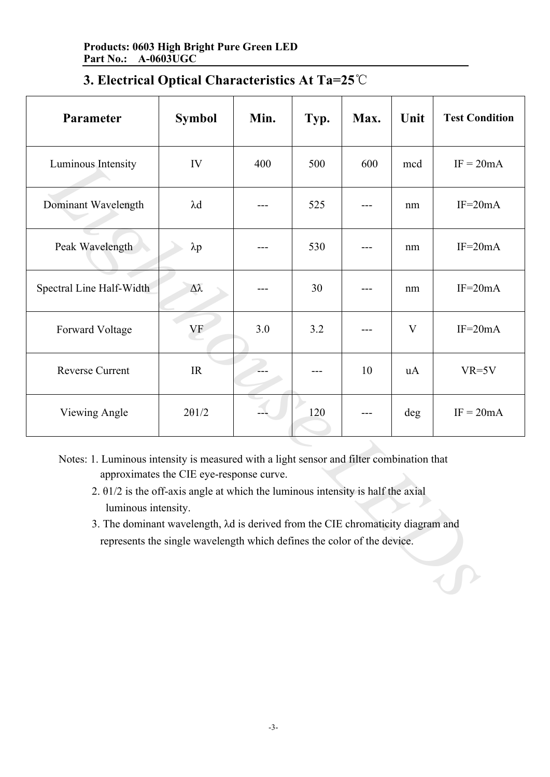| Parameter                                                                                                                                                                                                                                                                                                                                                                                                                     | <b>Symbol</b> | Min. | Typ. | Max. | Unit | <b>Test Condition</b> |  |
|-------------------------------------------------------------------------------------------------------------------------------------------------------------------------------------------------------------------------------------------------------------------------------------------------------------------------------------------------------------------------------------------------------------------------------|---------------|------|------|------|------|-----------------------|--|
| Luminous Intensity                                                                                                                                                                                                                                                                                                                                                                                                            | IV            | 400  | 500  | 600  | mcd  | $IF = 20mA$           |  |
| Dominant Wavelength                                                                                                                                                                                                                                                                                                                                                                                                           | $\lambda$ d   |      | 525  |      | nm   | $IF=20mA$             |  |
| Peak Wavelength                                                                                                                                                                                                                                                                                                                                                                                                               | $\lambda p$   |      | 530  |      | nm   | $IF=20mA$             |  |
| Spectral Line Half-Width                                                                                                                                                                                                                                                                                                                                                                                                      | Δλ            |      | 30   |      | nm   | $IF=20mA$             |  |
| Forward Voltage                                                                                                                                                                                                                                                                                                                                                                                                               | VF            | 3.0  | 3.2  |      | V    | $IF=20mA$             |  |
| <b>Reverse Current</b>                                                                                                                                                                                                                                                                                                                                                                                                        | IR            |      |      | 10   | uA   | $VR=5V$               |  |
| Viewing Angle                                                                                                                                                                                                                                                                                                                                                                                                                 | $2\theta$ 1/2 |      | 120  |      | deg  | $IF = 20mA$           |  |
| Notes: 1. Luminous intensity is measured with a light sensor and filter combination that<br>approximates the CIE eye-response curve.<br>2. $\theta$ 1/2 is the off-axis angle at which the luminous intensity is half the axial<br>luminous intensity.<br>3. The dominant wavelength, $\lambda d$ is derived from the CIE chromaticity diagram and<br>represents the single wavelength which defines the color of the device. |               |      |      |      |      |                       |  |

- 2. θ1/2 is the off-axis angle at which the luminous intensity is half the axial luminous intensity.
- 3. The dominant wavelength, λd is derived from the CIE chromaticity diagram and represents the single wavelength which defines the color of the device.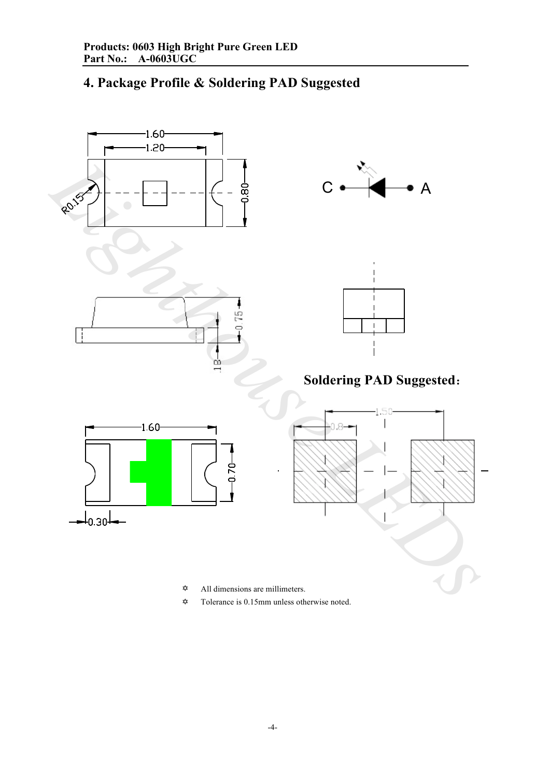# **4. Package Profile & Soldering PAD Suggested**



- $\vec{x}$ All dimensions are millimeters.
- $\vec{\mathbf{x}}$ Tolerance is 0.15mm unless otherwise noted.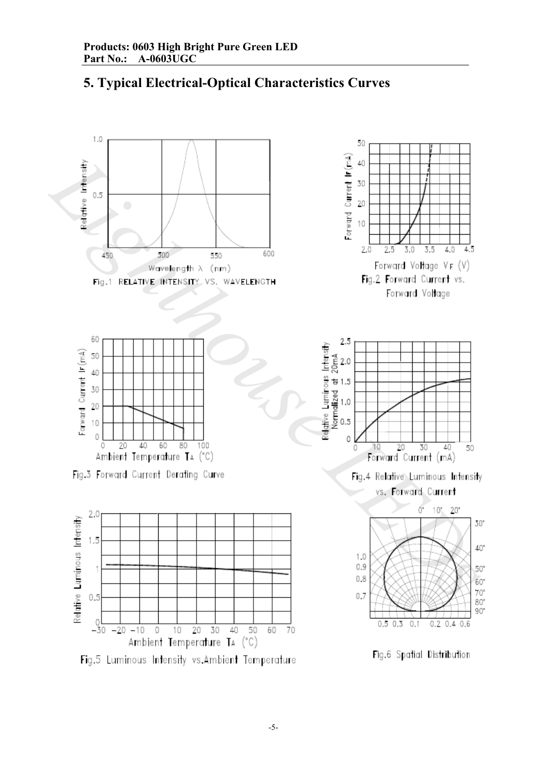

# **5. Typical Electrical-Optical Characteristics Curves**

Fig.5 Luminous Intensity vs.Ambient Temperature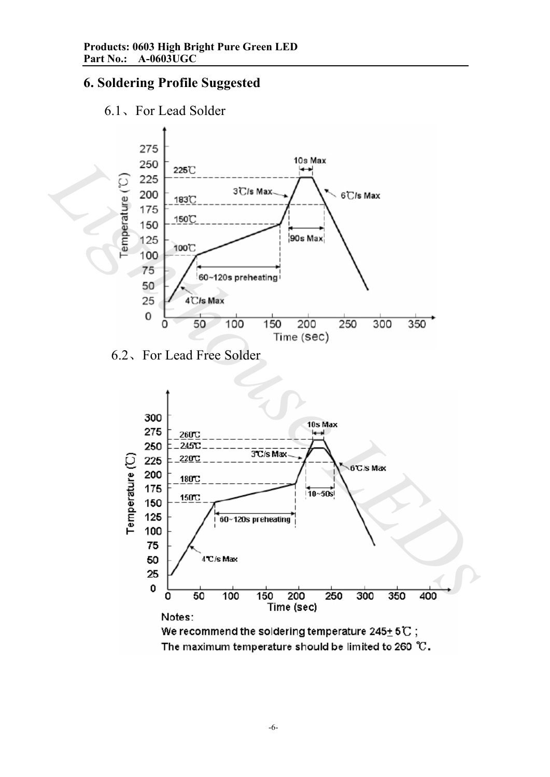# **6. Soldering Profile Suggested**





6.2、For Lead Free Solder

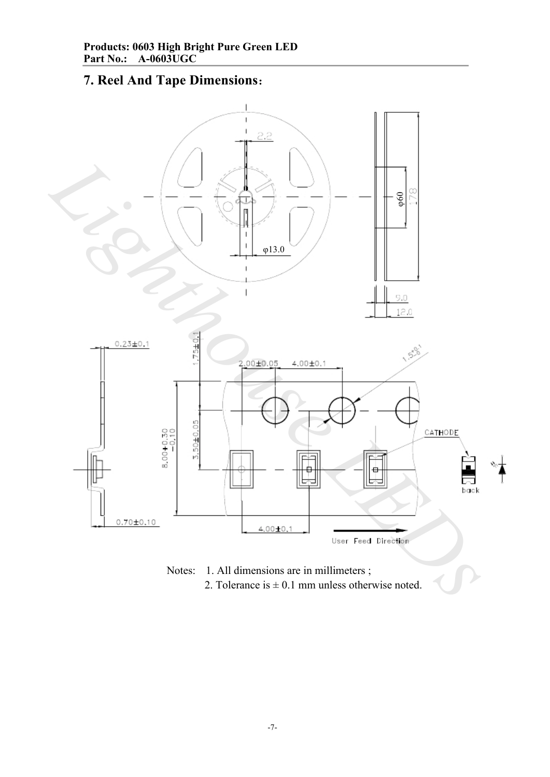# **7. Reel And Tape Dimensions**:



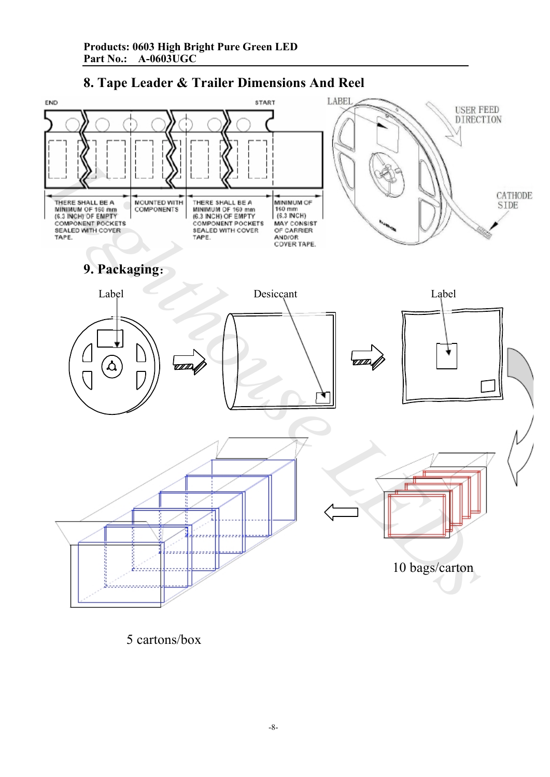



5 cartons/box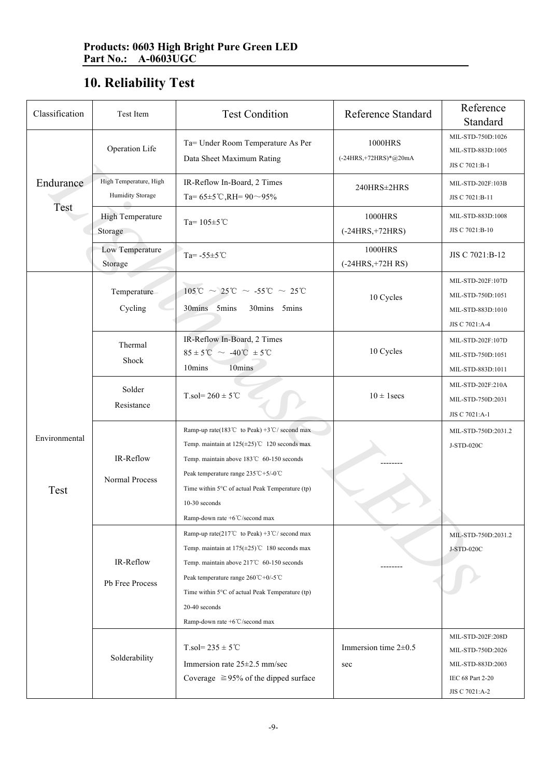# **10. Reliability Test**

| Classification        | Test Item                                         | <b>Test Condition</b>                                                                                                                                                                                                                                                                                                                              | <b>Reference Standard</b>          | Reference<br>Standard                                                         |
|-----------------------|---------------------------------------------------|----------------------------------------------------------------------------------------------------------------------------------------------------------------------------------------------------------------------------------------------------------------------------------------------------------------------------------------------------|------------------------------------|-------------------------------------------------------------------------------|
|                       | Operation Life                                    | Ta= Under Room Temperature As Per<br>Data Sheet Maximum Rating                                                                                                                                                                                                                                                                                     | 1000HRS<br>$(-24HRS,+72HRS)*@20mA$ | MIL-STD-750D:1026<br>MIL-STD-883D:1005<br>JIS C 7021:B-1                      |
| Endurance<br>Test     | High Temperature, High<br><b>Humidity Storage</b> | IR-Reflow In-Board, 2 Times<br>Ta= $65\pm5$ °C,RH= $90\sim95\%$                                                                                                                                                                                                                                                                                    | 240HRS±2HRS                        | MIL-STD-202F:103B<br>JIS C 7021:B-11                                          |
|                       | <b>High Temperature</b><br>Storage                | Ta= $105 \pm 5$ °C                                                                                                                                                                                                                                                                                                                                 | 1000HRS<br>$(-24HRS,+72HRS)$       | MIL-STD-883D:1008<br>JIS C 7021:B-10                                          |
|                       | Low Temperature<br>Storage                        | Ta= $-55 \pm 5^{\circ}$ C                                                                                                                                                                                                                                                                                                                          | 1000HRS<br>$(-24HRS,+72HRS)$       | JIS C 7021:B-12                                                               |
| Environmental<br>Test | Temperature<br>Cycling                            | $105^{\circ}\text{C} \sim 25^{\circ}\text{C} \sim -55^{\circ}\text{C} \sim 25^{\circ}\text{C}$<br>30mins 5mins<br>30mins 5mins                                                                                                                                                                                                                     | 10 Cycles                          | MIL-STD-202F:107D<br>MIL-STD-750D:1051<br>MIL-STD-883D:1010<br>JIS C 7021:A-4 |
|                       | Thermal<br>Shock                                  | IR-Reflow In-Board, 2 Times<br>$85 \pm 5^{\circ}\text{C} \sim -40^{\circ}\text{C} \pm 5^{\circ}\text{C}$<br>10mins<br>10mins                                                                                                                                                                                                                       | 10 Cycles                          | MIL-STD-202F:107D<br>MIL-STD-750D:1051<br>MIL-STD-883D:1011                   |
|                       | Solder<br>Resistance                              | $T_{.}sol = 260 \pm 5^{\circ}C$                                                                                                                                                                                                                                                                                                                    | $10 \pm 1$ secs                    | MIL-STD-202F:210A<br>MIL-STD-750D:2031<br>JIS C 7021:A-1                      |
|                       | IR-Reflow<br>Normal Process                       | Ramp-up rate(183 <sup>°</sup> C to Peak) +3 <sup>°C</sup> / second max<br>Temp. maintain at $125(\pm 25)$ °C 120 seconds max<br>Temp. maintain above 183℃ 60-150 seconds<br>Peak temperature range 235°C+5/-0°C<br>Time within 5°C of actual Peak Temperature (tp)<br>$10-30$ seconds<br>Ramp-down rate +6°C/second max                            |                                    | MIL-STD-750D:2031.2<br>J-STD-020C                                             |
|                       | IR-Reflow<br>Pb Free Process<br>Solderability     | Ramp-up rate(217°C to Peak) +3°C/ second max<br>Temp. maintain at $175(\pm 25)$ °C 180 seconds max<br>Temp. maintain above 217°C 60-150 seconds<br>Peak temperature range $260^{\circ}\text{C} + 0/5^{\circ}\text{C}$<br>Time within 5°C of actual Peak Temperature (tp)<br>20-40 seconds<br>Ramp-down rate +6°C/second max<br>$T$ .sol= 235 ± 5°C | Immersion time $2\pm0.5$           | MIL-STD-750D:2031.2<br>J-STD-020C<br>MIL-STD-202F:208D<br>MIL-STD-750D:2026   |
|                       |                                                   | Immersion rate $25\pm2.5$ mm/sec<br>Coverage $\geq 95\%$ of the dipped surface                                                                                                                                                                                                                                                                     | sec                                | MIL-STD-883D:2003<br>IEC 68 Part 2-20<br>JIS C 7021:A-2                       |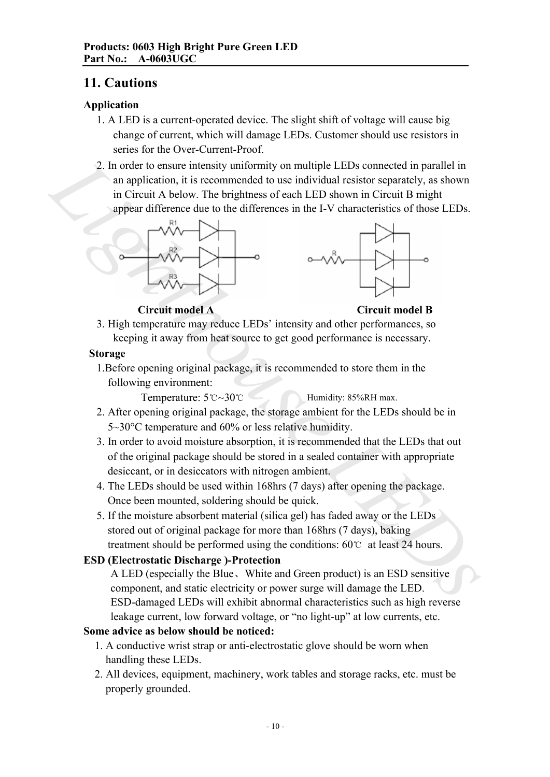## **11. Cautions**

#### **Application**

- 1. A LED is a current-operated device. The slight shift of voltage will cause big change of current, which will damage LEDs. Customer should use resistors in series for the Over-Current-Proof.
- 2. In order to ensure intensity uniformity on multiple LEDs connected in parallel in an application, it is recommended to use individual resistor separately, as shown in Circuit A below. The brightness of each LED shown in Circuit B might appear difference due to the differences in the I-V characteristics of those LEDs. 2. In order to ensure intensity uniformity on multiple LEDs connected in parallel in<br>
an application, it is economeded to use individual resistor separately, as shown<br>
in Circuit A below. The brightness of each LED shown





**Circuit model A Circuit model B**

3. High temperature may reduce LEDs' intensity and other performances, so keeping it away from heat source to get good performance is necessary.

#### **Storage**

1.Before opening original package, it is recommended to store them in the following environment:

Temperature: 5℃~30℃ Humidity: 85%RH max.

- 2. After opening original package, the storage ambient for the LEDs should be in 5~30°C temperature and 60% or less relative humidity.
- 3. In order to avoid moisture absorption, it is recommended that the LEDs that out of the original package should be stored in a sealed container with appropriate desiccant, or in desiccators with nitrogen ambient.
- 4. The LEDs should be used within 168hrs (7 days) after opening the package. Once been mounted, soldering should be quick.
- 5. If the moisture absorbent material (silica gel) has faded away or the LEDs stored out of original package for more than 168hrs (7 days), baking treatment should be performed using the conditions: 60℃ at least 24 hours.

## **ESD (Electrostatic Discharge )-Protection**

A LED (especially the Blue、White and Green product) is an ESD sensitive component, and static electricity or power surge will damage the LED. ESD-damaged LEDs will exhibit abnormal characteristics such as high reverse leakage current, low forward voltage, or "no light-up" at low currents, etc.

## **Some advice as below should be noticed:**

- 1. A conductive wrist strap or anti-electrostatic glove should be worn when handling these LEDs.
- 2. All devices, equipment, machinery, work tables and storage racks, etc. must be properly grounded.